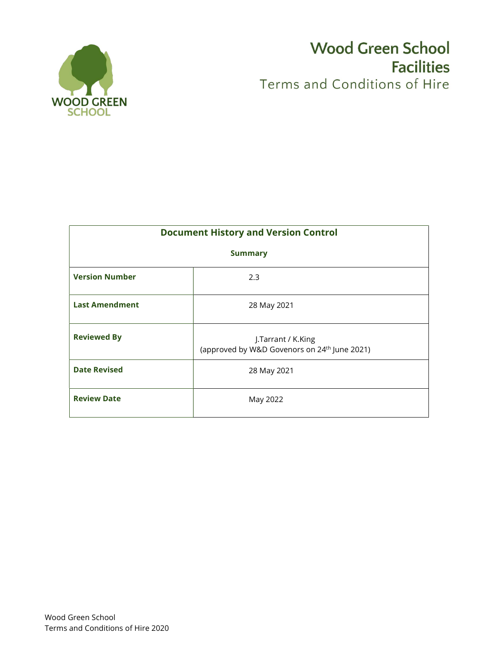

# **Wood Green School Facilities** Terms and Conditions of Hire

|                       | <b>Document History and Version Control</b>                                    |
|-----------------------|--------------------------------------------------------------------------------|
|                       | <b>Summary</b>                                                                 |
| <b>Version Number</b> | 2.3                                                                            |
| <b>Last Amendment</b> | 28 May 2021                                                                    |
| <b>Reviewed By</b>    | J.Tarrant / K.King<br>(approved by W&D Govenors on 24 <sup>th</sup> June 2021) |
| <b>Date Revised</b>   | 28 May 2021                                                                    |
| <b>Review Date</b>    | May 2022                                                                       |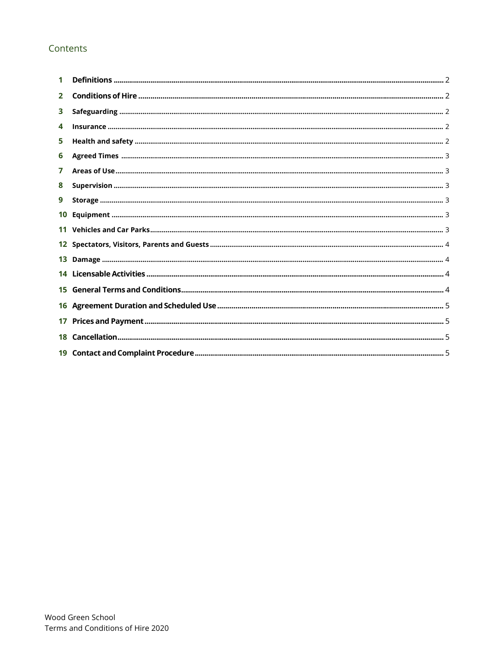# Contents

| $\overline{2}$  |  |
|-----------------|--|
| 3               |  |
| 4               |  |
| 5               |  |
| 6               |  |
| 7               |  |
| 8               |  |
| 9               |  |
| 10              |  |
|                 |  |
|                 |  |
|                 |  |
|                 |  |
|                 |  |
|                 |  |
| 17 <sup>1</sup> |  |
|                 |  |
|                 |  |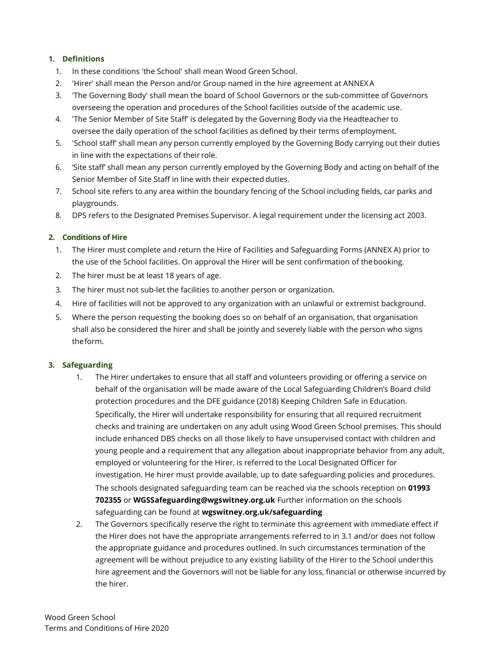# 1. Definitions

- 1. In these conditions 'the School' shall mean Wood Green School.
- 2. 'Hirer' shall mean the Person and/or Group named in the hire agreement at ANNEX A
- 3. 'The Governing Body' shall mean the board of School Governors or the sub-committee of Governors overseeing the operation and procedures of the School facilities outside of the academic use.
- 4. 'The Senior Member of Site Staff' is delegated by the Governing Body via the Headteacher to oversee the daily operation of the school facilities as defined by their terms of employment.
- 5. 'School staff' shall mean any person currently employed by the Governing Body carrying out their duties in line with the expectations of their role.
- 6. 'Site staff' shall mean any person currently employed by the Governing Body and acting on behalf of the Senior Member of Site Staff in line with their expected duties.
- 7. School site refers to any area within the boundary fencing of the School including fields, car parks and playgrounds.
- 8. DPS refers to the Designated Premises Supervisor. A legal requirement under the licensing act 2003.

# 2. Conditions of Hire

- 1. The Hirer must complete and return the Hire of Facilities and Safeguarding Forms (ANNEX A) prior to the use of the School facilities. On approval the Hirer will be sent confirmation of the booking.
- 2. The hirer must be at least 18 years of age.
- 3. The hirer must not sub-let the facilities to another person or organization.
- 4. Hire of facilities will not be approved to any organization with an unlawful or extremist background.
- 5. Where the person requesting the booking does so on behalf of an organisation, that organisation shall also be considered the hirer and shall be jointly and severely liable with the person who signs the form.

#### 3. Safeguarding

- 1. The Hirer undertakes to ensure that all staff and volunteers providing or offering a service on behalf of the organisation will be made aware of the Local Safeguarding Children's Board child protection procedures and the DFE guidance (2018) Keeping Children Safe in Education. Specifically, the Hirer will undertake responsibility for ensuring that all required recruitment checks and training are undertaken on any adult using Wood Green School premises. This should include enhanced DBS checks on all those likely to have unsupervised contact with children and young people and a requirement that any allegation about inappropriate behavior from any adult, employed or volunteering for the Hirer, is referred to the Local Designated Officer for investigation. He hirer must provide available, up to date safeguarding policies and procedures. The schools designated safeguarding team can be reached via the schools reception on 01993 702355 or WGSSafeguarding@wgswitney.org.uk Further information on the schools safeguarding can be found at wgswitney.org.uk/safeguarding
- 2. The Governors specifically reserve the right to terminate this agreement with immediate effect if the Hirer does not have the appropriate arrangements referred to in 3.1 and/or does not follow the appropriate guidance and procedures outlined. In such circumstances termination of the agreement will be without prejudice to any existing liability of the Hirer to the School under this hire agreement and the Governors will not be liable for any loss, financial or otherwise incurred by the hirer.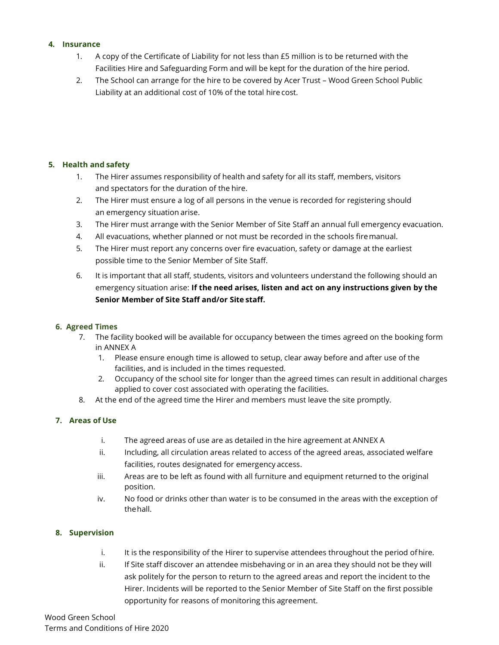#### 4. Insurance

- 1. A copy of the Certificate of Liability for not less than £5 million is to be returned with the Facilities Hire and Safeguarding Form and will be kept for the duration of the hire period.
- 2. The School can arrange for the hire to be covered by Acer Trust Wood Green School Public Liability at an additional cost of 10% of the total hire cost.

# 5. Health and safety

- 1. The Hirer assumes responsibility of health and safety for all its staff, members, visitors and spectators for the duration of the hire.
- 2. The Hirer must ensure a log of all persons in the venue is recorded for registering should an emergency situation arise.
- 3. The Hirer must arrange with the Senior Member of Site Staff an annual full emergency evacuation.
- 4. All evacuations, whether planned or not must be recorded in the schools fire manual.
- 5. The Hirer must report any concerns over fire evacuation, safety or damage at the earliest possible time to the Senior Member of Site Staff.
- 6. It is important that all staff, students, visitors and volunteers understand the following should an emergency situation arise: If the need arises, listen and act on any instructions given by the Senior Member of Site Staff and/or Site staff.

#### 6. Agreed Times

- 7. The facility booked will be available for occupancy between the times agreed on the booking form in ANNEX A
	- 1. Please ensure enough time is allowed to setup, clear away before and after use of the facilities, and is included in the times requested.
	- 2. Occupancy of the school site for longer than the agreed times can result in additional charges applied to cover cost associated with operating the facilities.
- 8. At the end of the agreed time the Hirer and members must leave the site promptly.

# 7. Areas of Use

- i. The agreed areas of use are as detailed in the hire agreement at ANNEX A
- ii. Including, all circulation areas related to access of the agreed areas, associated welfare facilities, routes designated for emergency access.
- iii. Areas are to be left as found with all furniture and equipment returned to the original position.
- iv. No food or drinks other than water is to be consumed in the areas with the exception of the hall.

#### 8. Supervision

- i. It is the responsibility of the Hirer to supervise attendees throughout the period of hire.
- ii. If Site staff discover an attendee misbehaving or in an area they should not be they will ask politely for the person to return to the agreed areas and report the incident to the Hirer. Incidents will be reported to the Senior Member of Site Staff on the first possible opportunity for reasons of monitoring this agreement.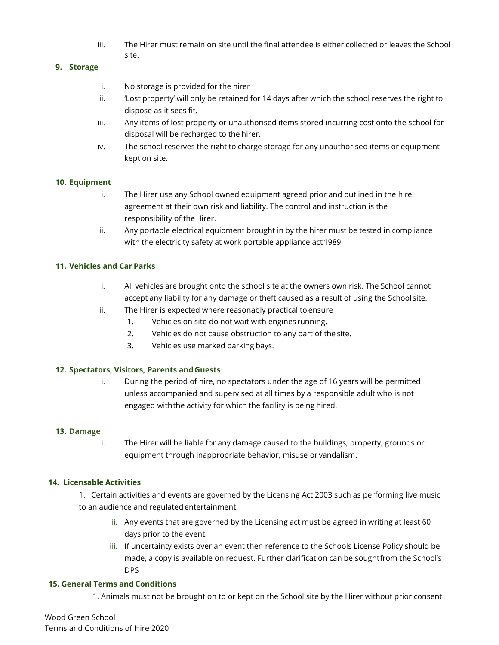iii. The Hirer must remain on site until the final attendee is either collected or leaves the School site.

#### 9. Storage

- i. No storage is provided for the hirer
- ii. 'Lost property' will only be retained for 14 days after which the school reserves the right to dispose as it sees fit.
- iii. Any items of lost property or unauthorised items stored incurring cost onto the school for disposal will be recharged to the hirer.
- iv. The school reserves the right to charge storage for any unauthorised items or equipment kept on site.

#### 10. Equipment

- i. The Hirer use any School owned equipment agreed prior and outlined in the hire agreement at their own risk and liability. The control and instruction is the responsibility of the Hirer.
- ii. Any portable electrical equipment brought in by the hirer must be tested in compliance with the electricity safety at work portable appliance act 1989.

#### 11. Vehicles and Car Parks

- i. All vehicles are brought onto the school site at the owners own risk. The School cannot accept any liability for any damage or theft caused as a result of using the School site.
- ii. The Hirer is expected where reasonably practical to ensure
	- 1. Vehicles on site do not wait with engines running.
	- 2. Vehicles do not cause obstruction to any part of the site.
	- 3. Vehicles use marked parking bays.

#### 12. Spectators, Visitors, Parents and Guests

i. During the period of hire, no spectators under the age of 16 years will be permitted unless accompanied and supervised at all times by a responsible adult who is not engaged with the activity for which the facility is being hired.

#### 13. Damage

i. The Hirer will be liable for any damage caused to the buildings, property, grounds or equipment through inappropriate behavior, misuse or vandalism.

#### 14. Licensable Activities

1. Certain activities and events are governed by the Licensing Act 2003 such as performing live music to an audience and regulated entertainment.

- ii. Any events that are governed by the Licensing act must be agreed in writing at least 60 days prior to the event.
- iii. If uncertainty exists over an event then reference to the Schools License Policy should be made, a copy is available on request. Further clarification can be sought from the School's DPS

#### 15. General Terms and Conditions

1. Animals must not be brought on to or kept on the School site by the Hirer without prior consent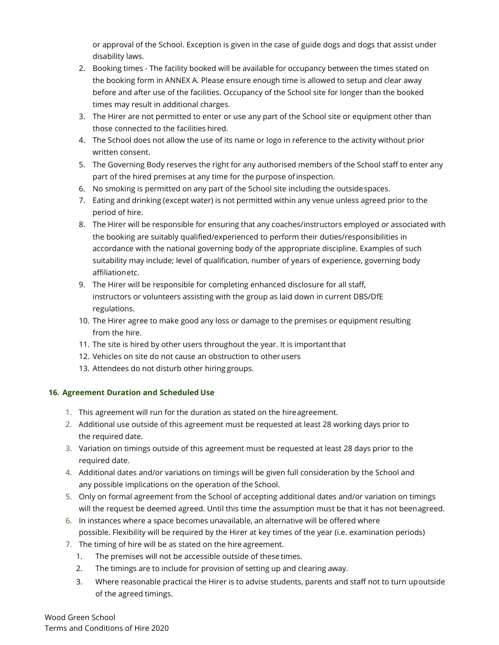or approval of the School. Exception is given in the case of guide dogs and dogs that assist under disability laws.

- 2. Booking times The facility booked will be available for occupancy between the times stated on the booking form in ANNEX A. Please ensure enough time is allowed to setup and clear away before and after use of the facilities. Occupancy of the School site for longer than the booked times may result in additional charges.
- 3. The Hirer are not permitted to enter or use any part of the School site or equipment other than those connected to the facilities hired.
- 4. The School does not allow the use of its name or logo in reference to the activity without prior written consent.
- 5. The Governing Body reserves the right for any authorised members of the School staff to enter any part of the hired premises at any time for the purpose of inspection.
- 6. No smoking is permitted on any part of the School site including the outside spaces.
- 7. Eating and drinking (except water) is not permitted within any venue unless agreed prior to the period of hire.
- 8. The Hirer will be responsible for ensuring that any coaches/instructors employed or associated with the booking are suitably qualified/experienced to perform their duties/responsibilities in accordance with the national governing body of the appropriate discipline. Examples of such suitability may include; level of qualification, number of years of experience, governing body affiliation etc.
- 9. The Hirer will be responsible for completing enhanced disclosure for all staff, instructors or volunteers assisting with the group as laid down in current DBS/DfE regulations.
- 10. The Hirer agree to make good any loss or damage to the premises or equipment resulting from the hire.
- 11. The site is hired by other users throughout the year. It is important that
- 12. Vehicles on site do not cause an obstruction to other users
- 13. Attendees do not disturb other hiring groups.

# 16. Agreement Duration and Scheduled Use

- 1. This agreement will run for the duration as stated on the hire agreement.
- 2. Additional use outside of this agreement must be requested at least 28 working days prior to the required date.
- 3. Variation on timings outside of this agreement must be requested at least 28 days prior to the required date.
- 4. Additional dates and/or variations on timings will be given full consideration by the School and any possible implications on the operation of the School.
- 5. Only on formal agreement from the School of accepting additional dates and/or variation on timings will the request be deemed agreed. Until this time the assumption must be that it has not been agreed.
- 6. In instances where a space becomes unavailable, an alternative will be offered where possible. Flexibility will be required by the Hirer at key times of the year (i.e. examination periods)
- 7. The timing of hire will be as stated on the hire agreement.
	- 1. The premises will not be accessible outside of these times.
	- 2. The timings are to include for provision of setting up and clearing away.
	- 3. Where reasonable practical the Hirer is to advise students, parents and staff not to turn up outside of the agreed timings.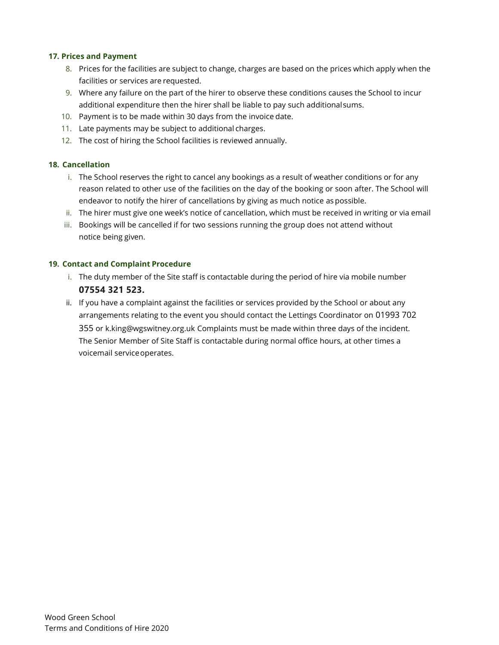#### 17. Prices and Payment

- 8. Prices for the facilities are subject to change, charges are based on the prices which apply when the facilities or services are requested.
- 9. Where any failure on the part of the hirer to observe these conditions causes the School to incur additional expenditure then the hirer shall be liable to pay such additional sums.
- 10. Payment is to be made within 30 days from the invoice date.
- 11. Late payments may be subject to additional charges.
- 12. The cost of hiring the School facilities is reviewed annually.

#### 18. Cancellation

- i. The School reserves the right to cancel any bookings as a result of weather conditions or for any reason related to other use of the facilities on the day of the booking or soon after. The School will endeavor to notify the hirer of cancellations by giving as much notice as possible.
- ii. The hirer must give one week's notice of cancellation, which must be received in writing or via email
- iii. Bookings will be cancelled if for two sessions running the group does not attend without notice being given.

# 19. Contact and Complaint Procedure

- i. The duty member of the Site staff is contactable during the period of hire via mobile number 07554 321 523.
- ii. If you have a complaint against the facilities or services provided by the School or about any arrangements relating to the event you should contact the Lettings Coordinator on 01993 702 355 or k.king@wgswitney.org.uk Complaints must be made within three days of the incident. The Senior Member of Site Staff is contactable during normal office hours, at other times a voicemail service operates.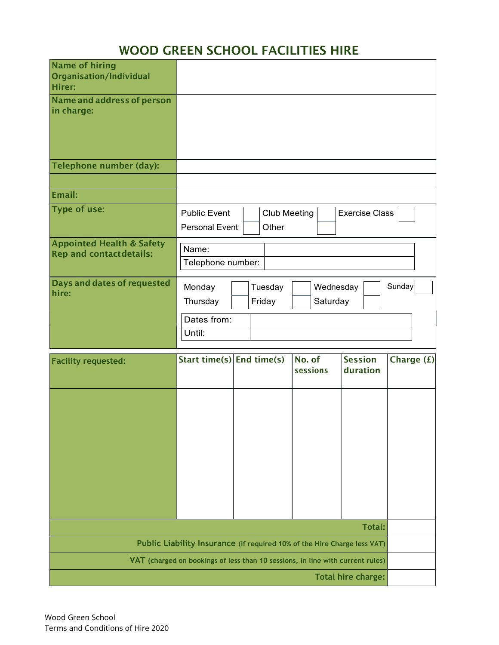# WOOD GREEN SCHOOL FACILITIES HIRE

| <b>Name of hiring</b><br>Organisation/Individual<br><b>Hirer:</b>      |                                                                                                       |
|------------------------------------------------------------------------|-------------------------------------------------------------------------------------------------------|
| Name and address of person<br>in charge:                               |                                                                                                       |
| Telephone number (day):                                                |                                                                                                       |
|                                                                        |                                                                                                       |
| Email:                                                                 |                                                                                                       |
| <b>Type of use:</b>                                                    | <b>Club Meeting</b><br><b>Exercise Class</b><br><b>Public Event</b><br>Other<br><b>Personal Event</b> |
| <b>Appointed Health &amp; Safety</b><br><b>Rep and contactdetails:</b> | Name:<br>Telephone number:                                                                            |
| Days and dates of requested<br>hire:                                   | Sunday<br>Wednesday<br>Monday<br>Tuesday<br>Saturday<br>Thursday<br>Friday<br>Dates from:<br>Until:   |
| <b>Facility requested:</b>                                             | Start time(s) $\vert$ End time(s)<br>No. of<br><b>Session</b><br>Charge $(f)$<br>sessions<br>duration |

| <b>Facility requested:</b> | Start time(s) End time(s) |                                                                                | NO. OT<br>sessions | <b>Session</b><br>duration | Charge (£) |  |
|----------------------------|---------------------------|--------------------------------------------------------------------------------|--------------------|----------------------------|------------|--|
|                            |                           |                                                                                |                    |                            |            |  |
|                            |                           |                                                                                |                    |                            |            |  |
|                            |                           |                                                                                |                    |                            |            |  |
|                            |                           |                                                                                |                    |                            |            |  |
|                            |                           |                                                                                |                    |                            |            |  |
|                            |                           |                                                                                |                    | Total:                     |            |  |
|                            |                           | Public Liability Insurance (if required 10% of the Hire Charge less VAT)       |                    |                            |            |  |
|                            |                           | VAT (charged on bookings of less than 10 sessions, in line with current rules) |                    |                            |            |  |
|                            |                           |                                                                                |                    | <b>Total hire charge:</b>  |            |  |